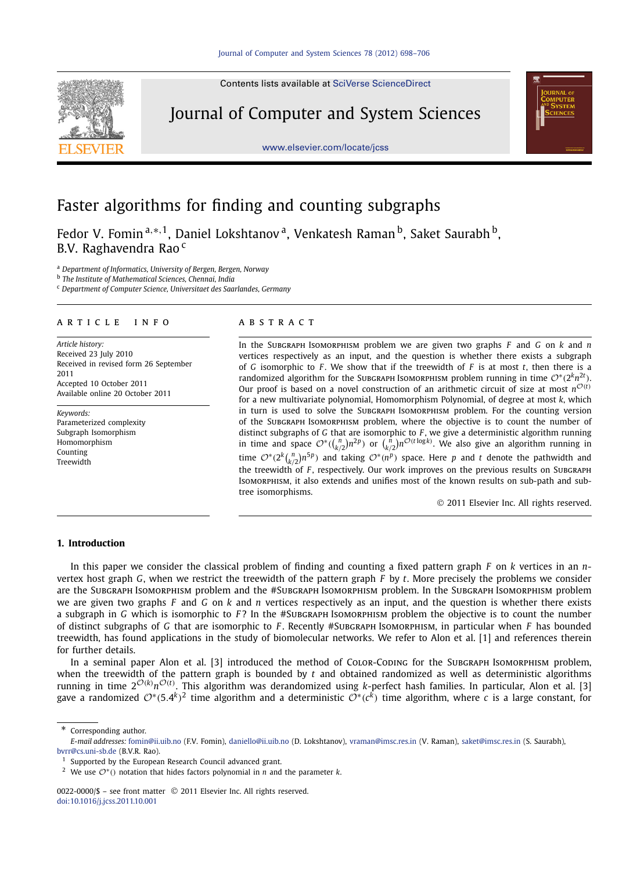Contents lists available at SciVerse ScienceDirect

Journal of Computer and System Sciences





# Faster algorithms for finding and counting subgraphs

Fedor V. Fomin<sup>a,</sup>\*<sup>,1</sup>, Daniel Lokshtanov<sup>a</sup>, Venkatesh Raman<sup>b</sup>, Saket Saurabh<sup>b</sup>, B.V. Raghavendra Rao<sup>c</sup>

<sup>a</sup> *Department of Informatics, University of Bergen, Bergen, Norway*

b *The Institute of Mathematical Sciences, Chennai, India*

<sup>c</sup> *Department of Computer Science, Universitaet des Saarlandes, Germany*

# article info abstract

*Article history:* Received 23 July 2010 Received in revised form 26 September 2011 Accepted 10 October 2011 Available online 20 October 2011

*Keywords:* Parameterized complexity Subgraph Isomorphism Homomorphism Counting Treewidth

In the Subgraph Isomorphism problem we are given two graphs *F* and *G* on *k* and *n* vertices respectively as an input, and the question is whether there exists a subgraph of *G* isomorphic to *F* . We show that if the treewidth of *F* is at most *t*, then there is a randomized algorithm for the SubGRAPH IsoMORPHISM problem running in time  $\mathcal{O}^*(2^kn^{2t})$ . Our proof is based on a novel construction of an arithmetic circuit of size at most  $n^{\mathcal{O}(t)}$ for a new multivariate polynomial, Homomorphism Polynomial, of degree at most *k*, which in turn is used to solve the Subgraph Isomorphism problem. For the counting version of the Subgraph Isomorphism problem, where the objective is to count the number of distinct subgraphs of *G* that are isomorphic to *F* , we give a deterministic algorithm running in time and space  $O^*((\binom{n}{k/2})n^{2p})$  or  $\binom{n}{k/2}n^{O(t \log k)}$ . We also give an algorithm running in time  $O^*(2^k {n \choose k/2} n^{5p})$  and taking  $O^*(n^p)$  space. Here *p* and *t* denote the pathwidth and the treewidth of *F* , respectively. Our work improves on the previous results on Subgraph Isomorphism, it also extends and unifies most of the known results on sub-path and subtree isomorphisms.

2011 Elsevier Inc. All rights reserved.

# **1. Introduction**

In this paper we consider the classical problem of finding and counting a fixed pattern graph *F* on *k* vertices in an *n*vertex host graph *G*, when we restrict the treewidth of the pattern graph *F* by *t*. More precisely the problems we consider are the Subgraph Isomorphism problem and the #Subgraph Isomorphism problem. In the Subgraph Isomorphism problem we are given two graphs *F* and *G* on *k* and *n* vertices respectively as an input, and the question is whether there exists a subgraph in *G* which is isomorphic to *F* ? In the #Subgraph Isomorphism problem the objective is to count the number of distinct subgraphs of *G* that are isomorphic to *F* . Recently #Subgraph Isomorphism, in particular when *F* has bounded treewidth, has found applications in the study of biomolecular networks. We refer to Alon et al. [1] and references therein for further details.

In a seminal paper Alon et al. [3] introduced the method of CoLOR-CODING for the SUBGRAPH ISOMORPHISM problem, when the treewidth of the pattern graph is bounded by *t* and obtained randomized as well as deterministic algorithms running in time 2<sup>O(k)</sup>n<sup>O(t)</sup>. This algorithm was derandomized using k-perfect hash families. In particular, Alon et al. [3] gave a randomized  $\mathcal{O}^*(5.4^k)^2$  time algorithm and a deterministic  $\mathcal{O}^*(c^k)$  time algorithm, where *c* is a large constant, for

Corresponding author.

*E-mail addresses:* fomin@ii.uib.no (F.V. Fomin), daniello@ii.uib.no (D. Lokshtanov), vraman@imsc.res.in (V. Raman), saket@imsc.res.in (S. Saurabh), bvrr@cs.uni-sb.de (B.V.R. Rao).

<sup>&</sup>lt;sup>1</sup> Supported by the European Research Council advanced grant.

<sup>2</sup> We use O<sup>∗</sup> () notation that hides factors polynomial in *n* and the parameter *k*.

<sup>0022-0000/\$ -</sup> see front matter © 2011 Elsevier Inc. All rights reserved. doi:10.1016/j.jcss.2011.10.001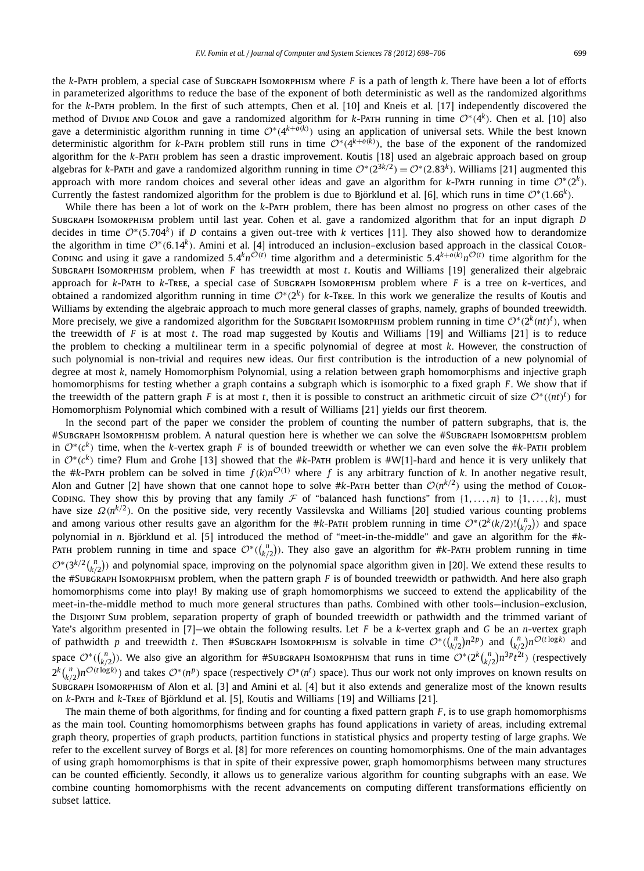the *k*-Path problem, a special case of Subgraph Isomorphism where *F* is a path of length *k*. There have been a lot of efforts in parameterized algorithms to reduce the base of the exponent of both deterministic as well as the randomized algorithms for the *k*-Path problem. In the first of such attempts, Chen et al. [10] and Kneis et al. [17] independently discovered the method of Divide and Color and gave a randomized algorithm for *k*-Path running in time  $O^*(4^k)$ . Chen et al. [10] also gave a deterministic algorithm running in time  ${\cal O}^*(4^{k+o(k)})$  using an application of universal sets. While the best known deterministic algorithm for *k*-Path problem still runs in time O<sup>∗</sup> (4 *k*+*o*(*k*) ), the base of the exponent of the randomized algorithm for the *k*-Path problem has seen a drastic improvement. Koutis [18] used an algebraic approach based on group algebras for *k*-PatH and gave a randomized algorithm running in time  $\mathcal{O}^*(2^{3k/2})=\mathcal{O}^*(2.83^k)$ . Williams [21] augmented this approach with more random choices and several other ideas and gave an algorithm for *k*-Par $ar running in time  $\mathcal{O}^*(2^k)$ .$ Currently the fastest randomized algorithm for the problem is due to Björklund et al. [6], which runs in time  $\mathcal{O}^*(1.66^k)$ .

While there has been a lot of work on the *k*-Path problem, there has been almost no progress on other cases of the Subgraph Isomorphism problem until last year. Cohen et al. gave a randomized algorithm that for an input digraph *D* decides in time O<sup>∗</sup> (5.704*<sup>k</sup>* ) if *D* contains a given out-tree with *k* vertices [11]. They also showed how to derandomize the algorithm in time O\*(6.14<sup>k</sup>). Amini et al. [4] introduced an inclusion–exclusion based approach in the classical CoLor-Coding and using it gave a randomized 5.4 $k n^{\tilde{O}(t)}$  time algorithm and a deterministic 5.4 $k+o(k)n^{\tilde{O}(t)}$  time algorithm for the Subgraph Isomorphism problem, when *F* has treewidth at most *t*. Koutis and Williams [19] generalized their algebraic approach for *k*-Path to *k*-Tree, a special case of Subgraph Isomorphism problem where *F* is a tree on *k*-vertices, and obtained a randomized algorithm running in time O<sup>∗</sup>(2<sup>k</sup>) for k-Tree. In this work we generalize the results of Koutis and Williams by extending the algebraic approach to much more general classes of graphs, namely, graphs of bounded treewidth. More precisely, we give a randomized algorithm for the Suвскарн Isoмокрнısм problem running in time  $O^*(2^k(nt)^t)$ , when the treewidth of *F* is at most *t*. The road map suggested by Koutis and Williams [19] and Williams [21] is to reduce the problem to checking a multilinear term in a specific polynomial of degree at most *k*. However, the construction of such polynomial is non-trivial and requires new ideas. Our first contribution is the introduction of a new polynomial of degree at most *k*, namely Homomorphism Polynomial, using a relation between graph homomorphisms and injective graph homomorphisms for testing whether a graph contains a subgraph which is isomorphic to a fixed graph *F* . We show that if the treewidth of the pattern graph *F* is at most *t*, then it is possible to construct an arithmetic circuit of size  $\mathcal{O}^*((nt)^t)$  for Homomorphism Polynomial which combined with a result of Williams [21] yields our first theorem.

In the second part of the paper we consider the problem of counting the number of pattern subgraphs, that is, the #Subgraph Isomorphism problem. A natural question here is whether we can solve the #Subgraph Isomorphism problem in O<sup>∗</sup> (*c k* ) time, when the *k*-vertex graph *F* is of bounded treewidth or whether we can even solve the #*k*-Path problem in O<sup>∗</sup> (*c k* ) time? Flum and Grohe [13] showed that the #*k*-Path problem is #W[1]-hard and hence it is very unlikely that the #*k*-Path problem can be solved in time *f* (*k*)*n* <sup>O</sup>(1) where *<sup>f</sup>* is any arbitrary function of *<sup>k</sup>*. In another negative result, Alon and Gutner [2] have shown that one cannot hope to solve  $\#k$ -PatH better than  $\mathcal{O}(n^{k/2})$  using the method of CoLor-Coding. They show this by proving that any family F of "balanced hash functions" from  $\{1,\ldots,n\}$  to  $\{1,\ldots,k\}$ , must have size  $Ω(n<sup>k/2</sup>)$ . On the positive side, very recently Vassilevska and Williams [20] studied various counting problems and among various other results gave an algorithm for the #k-PATH problem running in time  $\mathcal{O}^*(2^k(k/2)!(\binom{n}{k/2})$  and space polynomial in *n*. Björklund et al. [5] introduced the method of "meet-in-the-middle" and gave an algorithm for the #*k*-Ратн problem running in time and space  $\mathcal{O}^*((\frac{n}{k/2}))$ . They also gave an algorithm for #k-Ратн problem running in time  $\mathcal{O}^*(3^{k/2} \binom{n}{k/2})$  and polynomial space, improving on the polynomial space algorithm given in [20]. We extend these results to the #Subgraph Isomorphism problem, when the pattern graph *F* is of bounded treewidth or pathwidth. And here also graph homomorphisms come into play! By making use of graph homomorphisms we succeed to extend the applicability of the meet-in-the-middle method to much more general structures than paths. Combined with other tools—inclusion–exclusion, the Disjoint Sum problem, separation property of graph of bounded treewidth or pathwidth and the trimmed variant of Yate's algorithm presented in [7]—we obtain the following results. Let *F* be a *k*-vertex graph and *G* be an *n*-vertex graph of pathwidth *p* and treewidth *t*. Then #Subgraph Isomorphism is solvable in time  $\mathcal{O}^*(\binom{n}{k/2}n^{2p})$  and  $\binom{n}{k/2}n^{\mathcal{O}(t\log k)}$  and space  $\mathcal{O}^*((\frac{n}{k/2}))$ . We also give an algorithm for #Suвскарн Isoмокрнısм that runs in time  $\mathcal{O}^*(2^k\binom{n}{k/2}n^{3p}t^{2t})$  (respectively  $2^k\binom{n}{k/2}n^{\mathcal{O}(t\log k)}$  and takes  $\mathcal{O}^*(n^p)$  space (respectively  $\mathcal{O}^*(n^t)$  space). Thus our work not only improves on known results on Subgraph Isomorphism of Alon et al. [3] and Amini et al. [4] but it also extends and generalize most of the known results on *k*-Path and *k*-Tree of Björklund et al. [5], Koutis and Williams [19] and Williams [21].

The main theme of both algorithms, for finding and for counting a fixed pattern graph *F* , is to use graph homomorphisms as the main tool. Counting homomorphisms between graphs has found applications in variety of areas, including extremal graph theory, properties of graph products, partition functions in statistical physics and property testing of large graphs. We refer to the excellent survey of Borgs et al. [8] for more references on counting homomorphisms. One of the main advantages of using graph homomorphisms is that in spite of their expressive power, graph homomorphisms between many structures can be counted efficiently. Secondly, it allows us to generalize various algorithm for counting subgraphs with an ease. We combine counting homomorphisms with the recent advancements on computing different transformations efficiently on subset lattice.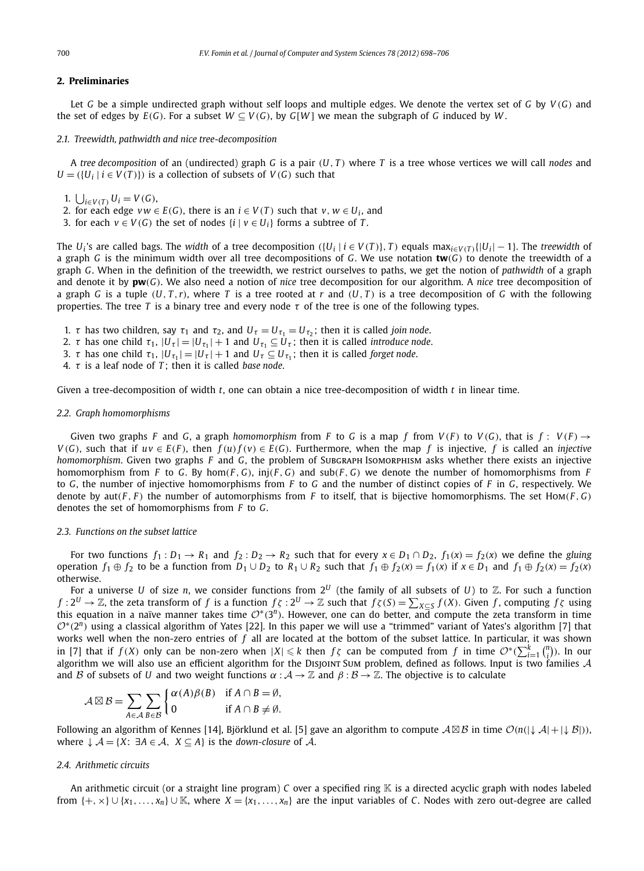# **2. Preliminaries**

Let *G* be a simple undirected graph without self loops and multiple edges. We denote the vertex set of *G* by *V* (*G*) and the set of edges by  $E(G)$ . For a subset  $W \subset V(G)$ , by  $G[W]$  we mean the subgraph of G induced by W.

#### *2.1. Treewidth, pathwidth and nice tree-decomposition*

A *tree decomposition* of an (undirected) graph *G* is a pair (*U*, *T* ) where *T* is a tree whose vertices we will call *nodes* and  $U = (\{U_i \mid i \in V(T)\})$  is a collection of subsets of  $V(G)$  such that

- 1.  $\bigcup_{i \in V(T)} U_i = V(G)$ ,
- 2. for each edge  $vw \in E(G)$ , there is an  $i \in V(T)$  such that  $v, w \in U_i$ , and
- 3. for each  $v \in V(G)$  the set of nodes  $\{i \mid v \in U_i\}$  forms a subtree of *T*.

The  $U_i$ 's are called bags. The width of a tree decomposition  $([U_i \mid i \in V(T)), T)$  equals max $_{i \in V(T)}\{|U_i| - 1\}$ . The treewidth of a graph *G* is the minimum width over all tree decompositions of *G*. We use notation **tw**(*G*) to denote the treewidth of a graph *G*. When in the definition of the treewidth, we restrict ourselves to paths, we get the notion of *pathwidth* of a graph and denote it by **pw**(*G*). We also need a notion of *nice* tree decomposition for our algorithm. A *nice* tree decomposition of a graph *G* is a tuple  $(U, T, r)$ , where *T* is a tree rooted at *r* and  $(U, T)$  is a tree decomposition of *G* with the following properties. The tree *T* is a binary tree and every node  $\tau$  of the tree is one of the following types.

- 1.  $\tau$  has two children, say  $\tau_1$  and  $\tau_2$ , and  $U_{\tau} = U_{\tau_1} = U_{\tau_2}$ ; then it is called *join node*.
- 2.  $\tau$  has one child  $\tau_1$ ,  $|U_\tau| = |U_{\tau_1}| + 1$  and  $U_{\tau_1} \subseteq U_\tau$ ; then it is called *introduce node*.
- 3.  $\tau$  has one child  $\tau_1$ ,  $|U_{\tau_1}| = |U_{\tau}| + 1$  and  $U_{\tau} \subseteq U_{\tau_1}$ ; then it is called *forget node*.
- 4. τ is a leaf node of *T* ; then it is called *base node*.

Given a tree-decomposition of width *t*, one can obtain a nice tree-decomposition of width *t* in linear time.

#### *2.2. Graph homomorphisms*

Given two graphs *F* and *G*, a graph *homomorphism* from *F* to *G* is a map *f* from *V*(*F*) to *V*(*G*), that is *f* : *V*(*F*)  $\rightarrow$ *V*(*G*), such that if *uv* ∈ *E*(*F*), then  $f(u) f(v)$  ∈ *E*(*G*). Furthermore, when the map *f* is injective, *f* is called an *injective homomorphism*. Given two graphs *F* and *G*, the problem of Subgraph Isomorphism asks whether there exists an injective homomorphism from *F* to *G*. By hom(*F*, *G*), inj(*F*, *G*) and sub(*F*, *G*) we denote the number of homomorphisms from *F* to *G*, the number of injective homomorphisms from *F* to *G* and the number of distinct copies of *F* in *G*, respectively. We denote by  $aut(F, F)$  the number of automorphisms from *F* to itself, that is bijective homomorphisms. The set Hom(*F*, *G*) denotes the set of homomorphisms from *F* to *G*.

# *2.3. Functions on the subset lattice*

For two functions  $f_1: D_1 \to R_1$  and  $f_2: D_2 \to R_2$  such that for every  $x \in D_1 \cap D_2$ ,  $f_1(x) = f_2(x)$  we define the *gluing* operation  $f_1 \oplus f_2$  to be a function from  $D_1 \cup D_2$  to  $R_1 \cup R_2$  such that  $f_1 \oplus f_2(x) = f_1(x)$  if  $x \in D_1$  and  $f_1 \oplus f_2(x) = f_2(x)$ otherwise.

For a universe *U* of size *n*, we consider functions from  $2^U$  (the family of all subsets of *U*) to  $\mathbb Z$ . For such a function  $f: 2^U \to \mathbb{Z}$ , the zeta transform of  $f$  is a function  $f\zeta: 2^U \to \mathbb{Z}$  such that  $f\zeta(S) = \sum_{X \subseteq S} f(X)$ . Given  $f$ , computing  $f\zeta$  using this equation in a naïve manner takes time  $O^*(3^n)$ . However, one can do better, and compute the zeta transform in time  $\mathcal{O}^*(2^n)$  using a classical algorithm of Yates [22]. In this paper we will use a "trimmed" variant of Yates's algorithm [7] that works well when the non-zero entries of *f* all are located at the bottom of the subset lattice. In particular, it was shown in [7] that if  $f(X)$  only can be non-zero when  $|X| \leq k$  then  $f\zeta$  can be computed from  $f$  in time  $\mathcal{O}^*(\sum_{i=1}^k {n \choose i})$ . In our algorithm we will also use an efficient algorithm for the Disjoint Sum problem, defined as follows. Input is two families  $A$ and B of subsets of U and two weight functions  $\alpha : A \to \mathbb{Z}$  and  $\beta : B \to \mathbb{Z}$ . The objective is to calculate

$$
\mathcal{A} \boxtimes \mathcal{B} = \sum_{A \in \mathcal{A}} \sum_{B \in \mathcal{B}} \begin{cases} \alpha(A)\beta(B) & \text{if } A \cap B = \emptyset, \\ 0 & \text{if } A \cap B \neq \emptyset. \end{cases}
$$

Following an algorithm of Kennes [14], Björklund et al. [5] gave an algorithm to compute  $A \boxtimes B$  in time  $\mathcal{O}(n(|\downarrow A| + |\downarrow B|))$ , where  $\downarrow$  *A* = {*X*: ∃*A* ∈ *A*, *X* ⊆ *A*} is the *down-closure* of *A*.

# *2.4. Arithmetic circuits*

An arithmetic circuit (or a straight line program) *C* over a specified ring K is a directed acyclic graph with nodes labeled from  $\{+, \times\} \cup \{x_1, \ldots, x_n\} \cup \mathbb{K}$ , where  $X = \{x_1, \ldots, x_n\}$  are the input variables of *C*. Nodes with zero out-degree are called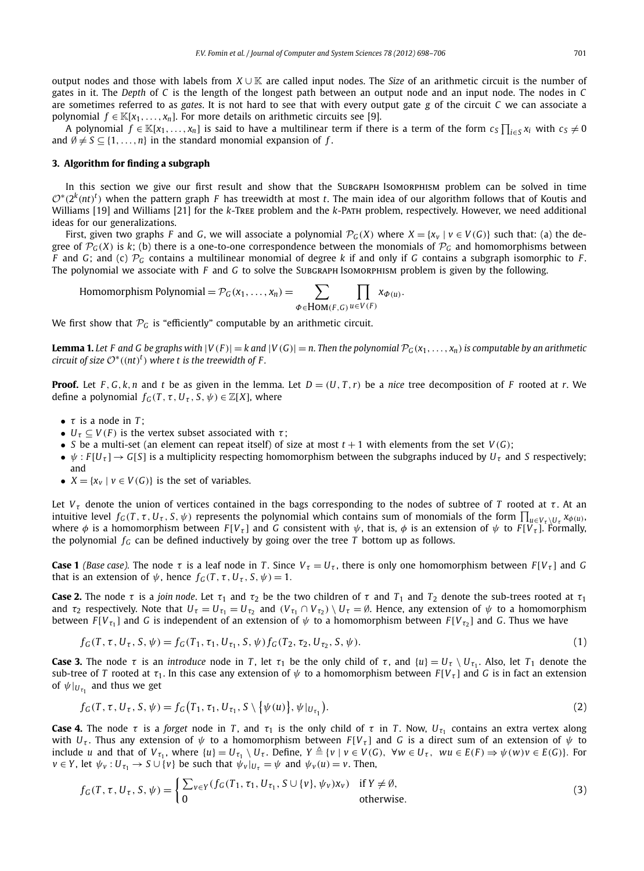output nodes and those with labels from *X* ∪ K are called input nodes. The *Size* of an arithmetic circuit is the number of gates in it. The *Depth* of *C* is the length of the longest path between an output node and an input node. The nodes in *C* are sometimes referred to as *gates*. It is not hard to see that with every output gate *g* of the circuit *C* we can associate a polynomial  $f \in K[x_1,...,x_n]$ . For more details on arithmetic circuits see [9].

A polynomial  $f \in \mathbb{K}[x_1,\ldots,x_n]$  is said to have a multilinear term if there is a term of the form  $c_S\prod_{i\in S}x_i$  with  $c_S\neq 0$ and  $\emptyset \neq S \subseteq \{1,\ldots,n\}$  in the standard monomial expansion of  $f.$ 

# **3. Algorithm for finding a subgraph**

In this section we give our first result and show that the Subgraph Isomorphism problem can be solved in time  $\mathcal{O}^*(2^k(nt)^t)$  when the pattern graph *F* has treewidth at most *t*. The main idea of our algorithm follows that of Koutis and Williams [19] and Williams [21] for the *k*-Tree problem and the *k*-Path problem, respectively. However, we need additional ideas for our generalizations.

First, given two graphs *F* and *G*, we will associate a polynomial  $\mathcal{P}_G(X)$  where  $X = \{x_v | v \in V(G)\}$  such that: (a) the degree of  $\mathcal{P}_G(X)$  is  $k$ ; (b) there is a one-to-one correspondence between the monomials of  $\mathcal{P}_G$  and homomorphisms between *F* and *G*; and *(c)*  $\mathcal{P}_G$  contains a multilinear monomial of degree *k* if and only if *G* contains a subgraph isomorphic to *F*. The polynomial we associate with *F* and *G* to solve the Subgraph Isomorphism problem is given by the following.

Homomorphism Polynomial = 
$$
\mathcal{P}_G(x_1, ..., x_n)
$$
 = 
$$
\sum_{\Phi \in \text{Hom}(F, G)} \prod_{u \in V(F)} x_{\Phi(u)}.
$$

We first show that  $P_G$  is "efficiently" computable by an arithmetic circuit.

**Lemma 1.** Let F and G be graphs with  $|V(F)| = k$  and  $|V(G)| = n$ . Then the polynomial  $\mathcal{P}_G(x_1, \ldots, x_n)$  is computable by an arithmetic *circuit of size*  $O^*((nt)^t)$  *where t is the treewidth of F.* 

**Proof.** Let *F*, *G*,*k*,*n* and *t* be as given in the lemma. Let  $D = (U, T, r)$  be a *nice* tree decomposition of *F* rooted at *r*. We define a polynomial  $f_G(T, \tau, U_{\tau}, S, \psi) \in \mathbb{Z}[X]$ , where

- $\tau$  is a node in  $T$ ;
- $U_{\tau} \subseteq V(F)$  is the vertex subset associated with  $\tau$ ;
- *S* be a multi-set (an element can repeat itself) of size at most  $t + 1$  with elements from the set  $V(G)$ ;
- $\psi$ : *F*[*U<sub>T</sub>*]  $\rightarrow$  *G*[*S*] is a multiplicity respecting homomorphism between the subgraphs induced by *U<sub>T</sub>* and *S* respectively; and
- $X = \{x_v \mid v \in V(G)\}\$ is the set of variables.

Let  $V<sub>\tau</sub>$  denote the union of vertices contained in the bags corresponding to the nodes of subtree of *T* rooted at  $\tau$ . At an intuitive level  $f_G(T, \tau, U_\tau, S, \psi)$  represents the polynomial which contains sum of monomials of the form  $\prod_{u \in V_\tau \setminus U_\tau} x_{\phi(u)}$ where  $\phi$  is a homomorphism between  $F[V_\tau]$  and *G* consistent with  $\psi$ , that is,  $\phi$  is an extension of  $\psi$  to  $F[V_\tau]$ . Formally, the polynomial  $f_G$  can be defined inductively by going over the tree *T* bottom up as follows.

**Case 1** *(Base case)*. The node  $\tau$  is a leaf node in *T*. Since  $V_{\tau} = U_{\tau}$ , there is only one homomorphism between  $F[V_{\tau}]$  and *G* that is an extension of  $\psi$ , hence  $f_G(T, \tau, U_\tau, S, \psi) = 1$ .

**Case 2.** The node  $\tau$  is a *join node*. Let  $\tau_1$  and  $\tau_2$  be the two children of  $\tau$  and  $T_1$  and  $T_2$  denote the sub-trees rooted at  $\tau_1$ and  $\tau_2$  respectively. Note that  $U_\tau=U_{\tau_1}=U_{\tau_2}$  and  $(V_{\tau_1}\cap V_{\tau_2})\setminus U_\tau=\emptyset$ . Hence, any extension of  $\psi$  to a homomorphism between  $F[V_{\tau_1}]$  and *G* is independent of an extension of  $\psi$  to a homomorphism between  $F[V_{\tau_2}]$  and *G*. Thus we have

$$
f_G(T, \tau, U_{\tau}, S, \psi) = f_G(T_1, \tau_1, U_{\tau_1}, S, \psi) f_G(T_2, \tau_2, U_{\tau_2}, S, \psi).
$$
\n(1)

**Case 3.** The node  $\tau$  is an *introduce* node in *T*, let  $\tau_1$  be the only child of  $\tau$ , and  $\{u\} = U_\tau \setminus U_{\tau_1}$ . Also, let  $T_1$  denote the sub-tree of *T* rooted at  $\tau_1$ . In this case any extension of  $\psi$  to a homomorphism between  $F[V_\tau]$  and *G* is in fact an extension of  $\psi|_{U_{\tau_1}}$  and thus we get

$$
f_G(T, \tau, U_{\tau}, S, \psi) = f_G(T_1, \tau_1, U_{\tau_1}, S \setminus \{ \psi(u) \}, \psi|_{U_{\tau_1}}). \tag{2}
$$

**Case 4.** The node  $\tau$  is a forget node in T, and  $\tau_1$  is the only child of  $\tau$  in T. Now,  $U_{\tau_1}$  contains an extra vertex along with  $U_{\tau}$ . Thus any extension of  $\psi$  to a homomorphism between  $F[V_{\tau}]$  and G is a direct sum of an extension of  $\psi$  to include u and that of  $V_{\tau_1}$ , where  $\{u\} = U_{\tau_1} \setminus U_{\tau}$ . Define,  $Y \triangleq \{v \mid v \in V(G), \forall w \in U_{\tau}, \ wu \in E(F) \Rightarrow \psi(w)v \in E(G)\}$ . For  $v \in Y$ , let  $\psi_v : U_{\tau_1} \to S \cup \{v\}$  be such that  $\psi_v|_{U_\tau} = \psi$  and  $\psi_v(u) = v$ . Then,

$$
f_G(T, \tau, U_{\tau}, S, \psi) = \begin{cases} \sum_{v \in Y} (f_G(T_1, \tau_1, U_{\tau_1}, S \cup \{v\}, \psi_v) x_v) & \text{if } Y \neq \emptyset, \\ 0 & \text{otherwise.} \end{cases}
$$
(3)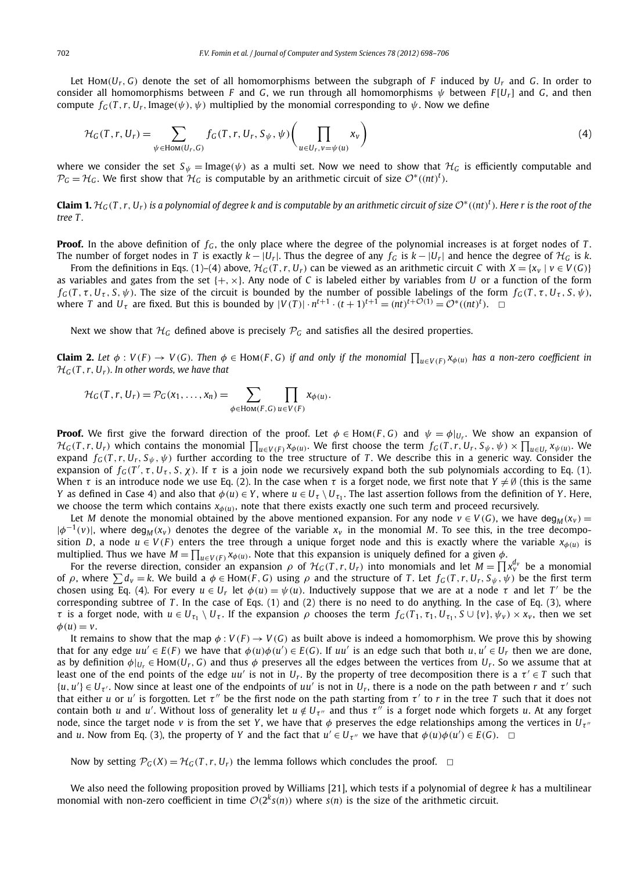Let Hom( $U_r$ ,  $G$ ) denote the set of all homomorphisms between the subgraph of *F* induced by  $U_r$  and *G*. In order to consider all homomorphisms between *F* and *G*, we run through all homomorphisms  $\psi$  between  $F[U_r]$  and *G*, and then compute  $f_G(T, r, U_r, \text{Image}(\psi), \psi)$  multiplied by the monomial corresponding to  $\psi$ . Now we define

$$
\mathcal{H}_G(T, r, U_r) = \sum_{\psi \in \text{Hom}(U_r, G)} f_G(T, r, U_r, S_{\psi}, \psi) \left( \prod_{u \in U_r, v = \psi(u)} x_v \right) \tag{4}
$$

where we consider the set  $S_{\psi}$  = Image( $\psi$ ) as a multi set. Now we need to show that  $\mathcal{H}_G$  is efficiently computable and  $\mathcal{P}_G=\mathcal{H}_G$ . We first show that  $\mathcal{H}_G$  is computable by an arithmetic circuit of size  $\mathcal{O}^*((nt)^t)$ .

**Claim 1.**  $H_G(T, r, U_r)$  is a polynomial of degree k and is computable by an arithmetic circuit of size  $\mathcal{O}^*((nt)^t)$ . Here  $r$  is the root of the *tree T .*

**Proof.** In the above definition of  $f<sub>G</sub>$ , the only place where the degree of the polynomial increases is at forget nodes of *T*. The number of forget nodes in *T* is exactly  $k - |U_r|$ . Thus the degree of any  $f_G$  is  $k - |U_r|$  and hence the degree of  $\mathcal{H}_G$  is  $k$ .

From the definitions in Eqs. (1)–(4) above,  $\mathcal{H}_G(T, r, U_r)$  can be viewed as an arithmetic circuit *C* with  $X = \{x_v \mid v \in V(G)\}$ as variables and gates from the set  $\{+, \times\}$ . Any node of C is labeled either by variables from U or a function of the form  $f_G(T, \tau, U_\tau, S, \psi)$ . The size of the circuit is bounded by the number of possible labelings of the form  $f_G(T, \tau, U_\tau, S, \psi)$ , where *T* and  $U_{\tau}$  are fixed. But this is bounded by  $|V(T)| \cdot n^{t+1} \cdot (t+1)^{t+1} = (nt)^{t+\mathcal{O}(1)} = \mathcal{O}^*((nt)^t)$ .  $\Box$ 

Next we show that  $H_G$  defined above is precisely  $P_G$  and satisfies all the desired properties.

**Claim 2.** Let  $\phi: V(F) \to V(G)$ . Then  $\phi \in Hom(F, G)$  if and only if the monomial  $\prod_{u \in V(F)} x_{\phi(u)}$  has a non-zero coefficient in H*G*(*T* ,*r*, *Ur*)*. In other words, we have that*

$$
\mathcal{H}_G(T,r,U_r)=\mathcal{P}_G(x_1,\ldots,x_n)=\sum_{\phi\in\text{Hom}(F,G)}\prod_{u\in V(F)}x_{\phi(u)}.
$$

**Proof.** We first give the forward direction of the proof. Let  $\phi \in \text{Hom}(F, G)$  and  $\psi = \phi|_{U_r}$ . We show an expansion of  $\mathcal{H}_G(T,r,U_r)$  which contains the monomial  $\prod_{u\in V(F)} x_{\phi(u)}$ . We first choose the term  $f_G(T,r,U_r,S_\psi,\psi) \times \prod_{u\in U_r} x_{\psi(u)}$ . We expand  $f_G(T, r, U_r, S_\psi, \psi)$  further according to the tree structure of *T*. We describe this in a generic way. Consider the expansion of  $f_G(T', \tau, U_\tau, S, \chi)$ . If  $\tau$  is a join node we recursively expand both the sub polynomials according to Eq. (1). When  $\tau$  is an introduce node we use Eq. (2). In the case when  $\tau$  is a forget node, we first note that  $Y\neq\emptyset$  (this is the same *Y* as defined in Case 4) and also that  $\phi(u)\in Y,$  where  $u\in U_\tau\setminus U_{\tau_1}.$  The last assertion follows from the definition of *Y* . Here, we choose the term which contains  $x_{\phi(u)}$ , note that there exists exactly one such term and proceed recursively.

Let *M* denote the monomial obtained by the above mentioned expansion. For any node  $v \in V(G)$ , we have deg<sub>*M*</sub>( $x_v$ ) =  $|\phi^{-1}(v)|$ , where deg<sub>*M*</sub>(*x*<sub>*v*</sub>) denotes the degree of the variable *x*<sub>*v*</sub> in the monomial *M*. To see this, in the tree decomposition *D*, a node  $u \in V(F)$  enters the tree through a unique forget node and this is exactly where the variable  $x_{\phi(u)}$  is multiplied. Thus we have  $M = \prod_{u \in V(F)} x_{\phi(u)}$ . Note that this expansion is uniquely defined for a given  $\phi$ .

For the reverse direction, consider an expansion  $\rho$  of  $H_G(T, r, U_r)$  into monomials and let  $M = \prod x_v^{d_v}$  be a monomial of ρ, where  $\sum d_v = k$ . We build a  $\phi \in$  Hom(*F*, *G*) using ρ and the structure of *T*. Let  $f_G(T, r, U_r, S_\psi, \psi)$  be the first term chosen using Eq. (4). For every  $u \in U_r$  let  $\phi(u) = \psi(u)$ . Inductively suppose that we are at a node  $\tau$  and let  $T'$  be the corresponding subtree of *T* . In the case of Eqs. (1) and (2) there is no need to do anything. In the case of Eq. (3), where  $\tau$  is a forget node, with  $u \in U_{\tau_1} \setminus U_{\tau}$ . If the expansion  $\rho$  chooses the term  $f_G(T_1, \tau_1, U_{\tau_1}, S \cup \{v\}, \psi_v) \times x_v$ , then we set  $\phi(u) = v.$ 

It remains to show that the map  $\phi: V(F) \to V(G)$  as built above is indeed a homomorphism. We prove this by showing that for any edge  $uu' \in E(F)$  we have that  $\phi(u)\phi(u') \in E(G)$ . If  $uu'$  is an edge such that both  $u, u' \in U_r$  then we are done, as by definition  $\phi|_{U_r} \in Hom(U_r, G)$  and thus  $\phi$  preserves all the edges between the vertices from  $U_r$ . So we assume that at least one of the end points of the edge  $uu'$  is not in  $U_r$ . By the property of tree decomposition there is a  $\tau' \in T$  such that  $\{u, u'\}\in U_{\tau'}$ . Now since at least one of the endpoints of  $uu'$  is not in  $U_r$ , there is a node on the path between *r* and  $\tau'$  such that either *u* or *u'* is forgotten. Let  $\tau''$  be the first node on the path starting from  $\tau'$  to *r* in the tree *T* such that it does not contain both *u* and *u'*. Without loss of generality let  $u \notin U_{\tau''}$  and thus  $\tau''$  is a forget node which forgets *u*. At any forget node, since the target node *v* is from the set *Y*, we have that  $\phi$  preserves the edge relationships among the vertices in  $U_{\tau}$ and *u*. Now from Eq. (3), the property of *Y* and the fact that  $u' \in U_{\tau''}$  we have that  $\phi(u)\phi(u') \in E(G)$ .  $\Box$ 

Now by setting  $\mathcal{P}_G(X) = \mathcal{H}_G(T, r, U_r)$  the lemma follows which concludes the proof.  $\Box$ 

We also need the following proposition proved by Williams [21], which tests if a polynomial of degree *k* has a multilinear monomial with non-zero coefficient in time  $O(2^k s(n))$  where  $s(n)$  is the size of the arithmetic circuit.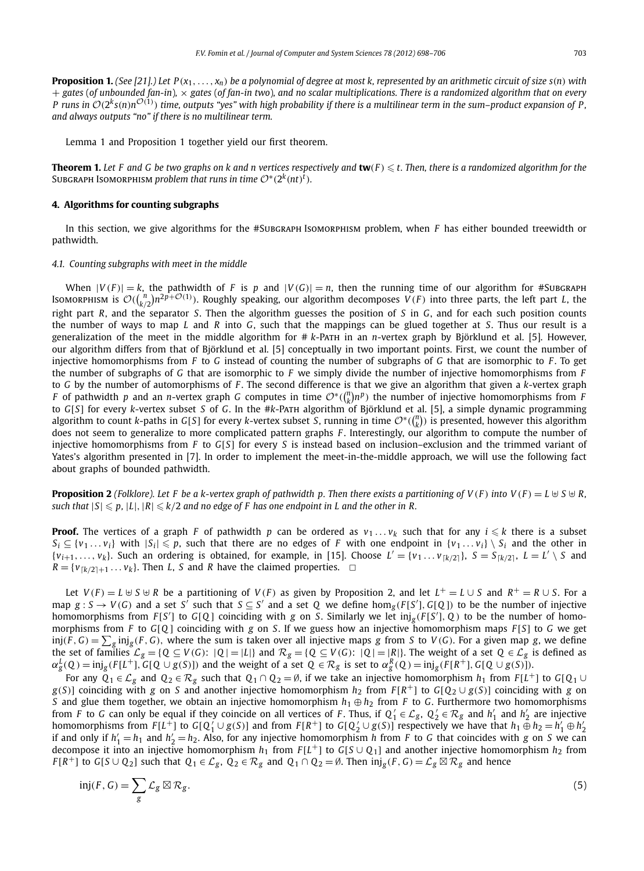**Proposition 1.** *(See [21].) Let P*(*x*1,..., *xn*) *be a polynomial of degree at most k, represented by an arithmetic circuit of size s*(*n*) *with* + *gates* (*of unbounded fan-in*)*,* × *gates* (*of fan-in two*)*, and no scalar multiplications. There is a randomized algorithm that on every P* runs in  $\mathcal{O}(2^k s(n)n^{\mathcal{O}(1)})$  time, outputs "yes" with high probability if there is a multilinear term in the sum–product expansion of P, *and always outputs "no" if there is no multilinear term.*

Lemma 1 and Proposition 1 together yield our first theorem.

**Theorem 1.** Let F and G be two graphs on k and n vertices respectively and  $\textbf{tw}(F)$   $\leqslant$  t. Then, there is a randomized algorithm for the  $\mathsf{SUBGRAPH}$  Isoмокрнізм  $problem$  that runs in time  $\mathcal{O}^*(2^k(nt)^t)$ .

# **4. Algorithms for counting subgraphs**

In this section, we give algorithms for the #Subgraph Isomorphism problem, when *F* has either bounded treewidth or pathwidth.

# *4.1. Counting subgraphs with meet in the middle*

When  $|V(F)| = k$ , the pathwidth of F is p and  $|V(G)| = n$ , then the running time of our algorithm for #Subgraph Isomorphism is  $\mathcal{O}((\frac{n}{k/2})n^{2p+\mathcal{O}(1)})$ . Roughly speaking, our algorithm decomposes  $V(F)$  into three parts, the left part *L*, the right part *R*, and the separator *S*. Then the algorithm guesses the position of *S* in *G*, and for each such position counts the number of ways to map *L* and *R* into *G*, such that the mappings can be glued together at *S*. Thus our result is a generalization of the meet in the middle algorithm for # *k*-Path in an *n*-vertex graph by Björklund et al. [5]. However, our algorithm differs from that of Björklund et al. [5] conceptually in two important points. First, we count the number of injective homomorphisms from *F* to *G* instead of counting the number of subgraphs of *G* that are isomorphic to *F* . To get the number of subgraphs of *G* that are isomorphic to *F* we simply divide the number of injective homomorphisms from *F* to *G* by the number of automorphisms of *F* . The second difference is that we give an algorithm that given a *k*-vertex graph *F* of pathwidth *p* and an *n*-vertex graph *G* computes in time  $O^*(\binom{n}{k}n^p)$  the number of injective homomorphisms from *F* to *G*[*S*] for every *k*-vertex subset *S* of *G*. In the #*k*-Path algorithm of Björklund et al. [5], a simple dynamic programming algorithm to count *k*-paths in *G*[*S*] for every *k*-vertex subset *S*, running in time  $O^*((\binom{n}{k})$  is presented, however this algorithm does not seem to generalize to more complicated pattern graphs *F* . Interestingly, our algorithm to compute the number of injective homomorphisms from *F* to *G*[*S*] for every *S* is instead based on inclusion–exclusion and the trimmed variant of Yates's algorithm presented in [7]. In order to implement the meet-in-the-middle approach, we will use the following fact about graphs of bounded pathwidth.

**Proposition 2** (Folklore). Let F be a k-vertex graph of pathwidth p. Then there exists a partitioning of  $V(F)$  into  $V(F) = L \cup S \cup R$ ,  $|S| \leqslant p$ ,  $|L|$ ,  $|R| \leqslant k/2$  and no edge of F has one endpoint in L and the other in R.

**Proof.** The vertices of a graph *F* of pathwidth *p* can be ordered as  $v_1 \dots v_k$  such that for any  $i \leq k$  there is a subset  $S_i \subseteq \{v_1 \ldots v_i\}$  with  $|S_i| \leq p$ , such that there are no edges of *F* with one endpoint in  $\{v_1 \ldots v_i\} \setminus S_i$  and the other in  $\{v_{i+1},..., v_k\}$ . Such an ordering is obtained, for example, in [15]. Choose  $L' = \{v_1, ..., v_{\lceil k/2 \rceil}\}$ ,  $S = S_{\lceil k/2 \rceil}$ ,  $L = L' \setminus S$  and  $R = \{v_{\lceil k/2 \rceil + 1} \dots v_k\}$ . Then *L*, *S* and *R* have the claimed properties.  $\Box$ 

Let  $V(F) = L \cup S \cup R$  be a partitioning of  $V(F)$  as given by Proposition 2, and let  $L^+ = L \cup S$  and  $R^+ = R \cup S$ . For a  $\max g: S \to V(G)$  and a set *S'* such that  $S \subseteq S'$  and a set Q we define  $\hom_g(F[S'], G[Q])$  to be the number of injective homomorphisms from  $F[S']$  to  $G[Q]$  coinciding with *g* on *S*. Similarly we let  $inj_g(F[S'], Q)$  to be the number of homomorphisms from *F* to *G*[*Q* ] coinciding with *g* on *S*. If we guess how an injective homomorphism maps *F* [*S*] to *G* we get inj $(F,G)=\sum_g\inf_g(F,G)$ , where the sum is taken over all injective maps  $g$  from  $S$  to  $V(G).$  For a given map  $g$ , we define the set of families  $\mathcal{L}_g = \{Q \subseteq V(G): |Q| = |L|\}$  and  $\mathcal{R}_g = \{Q \subseteq V(G): |Q| = |R|\}$ . The weight of a set  $Q \in \mathcal{L}_g$  is defined as  $\alpha_{g}^{L}(Q) = \mathrm{inj}_{g}(F[L^{+}], G[Q \cup g(S)])$  and the weight of a set  $Q \in \mathcal{R}_{g}$  is set to  $\alpha_{g}^{R}(Q) = \mathrm{inj}_{g}(F[R^{+}], G[Q \cup g(S)])$ .

For any  $Q_1 \in \mathcal{L}_g$  and  $Q_2 \in \mathcal{R}_g$  such that  $Q_1 \cap Q_2 = \emptyset$ , if we take an injective homomorphism  $h_1$  from  $F[L^+]$  to  $G[Q_1 \cup Q_2]$  $g(S)$ ] coinciding with  $g$  on  $S$  and another injective homomorphism  $h_2$  from  $F[R^+]$  to  $G[Q_2\cup g(S)]$  coinciding with  $g$  on *S* and glue them together, we obtain an injective homomorphism  $h_1 \oplus h_2$  from *F* to *G*. Furthermore two homomorphisms from *F* to *G* can only be equal if they coincide on all vertices of *F*. Thus, if  $Q'_1 \in \mathcal{L}_g$ ,  $Q'_2 \in \mathcal{R}_g$  and  $h'_1$  and  $h'_2$  are injective homomorphisms from  $F[L^+]$  to  $G[Q_1' \cup g(S)]$  and from  $F[R^+]$  to  $G[Q_2' \cup g(S)]$  respectively we have that  $h_1 \oplus h_2 = h_1' \oplus h_2'$ if and only if  $h'_1 = h_1$  and  $h'_2 = h_2$ . Also, for any injective homomorphism *h* from *F* to *G* that coincides with *g* on *S* we can decompose it into an injective homomorphism *h*<sup>1</sup> from *F* [*L* <sup>+</sup>] to *G*[*S* ∪ *Q*1] and another injective homomorphism *h*<sup>2</sup> from *F*[*R*<sup>+</sup>] to *G*[S∪Q<sub>2</sub>] such that  $Q_1 \in \mathcal{L}_g$ ,  $Q_2 \in \mathcal{R}_g$  and  $Q_1 \cap Q_2 = \emptyset$ . Then  $\text{inj}_g(F, G) = \mathcal{L}_g \boxtimes \mathcal{R}_g$  and hence

$$
inj(F, G) = \sum_{g} \mathcal{L}_g \boxtimes \mathcal{R}_g. \tag{5}
$$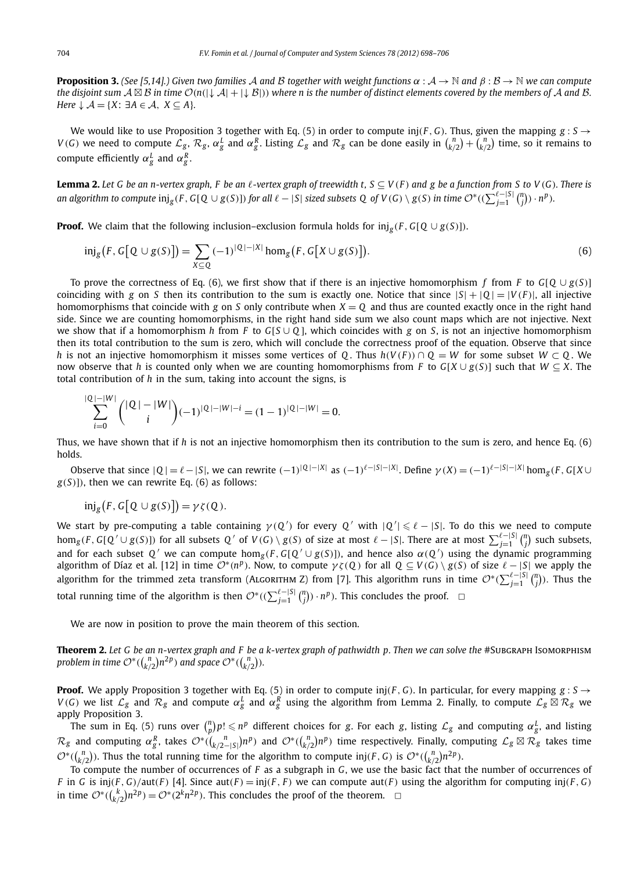**Proposition 3.** (See [5,14].) Given two families A and B together with weight functions  $\alpha : A \to \mathbb{N}$  and  $\beta : B \to \mathbb{N}$  we can compute *the disjoint sum*  $A \boxtimes B$  *in time*  $O(n(|\downarrow A| + |\downarrow B|))$  *where n is the number of distinct elements covered by the members of* A *and* B. *Here*  $\downarrow$  *A* = {*X*: ∃*A* ∈ *A*, *X* ⊆ *A*}*.* 

We would like to use Proposition 3 together with Eq. (5) in order to compute inj(*F*, *G*). Thus, given the mapping  $g : S \rightarrow$  $V(G)$  we need to compute  $\mathcal{L}_g$ ,  $\mathcal{R}_g$ ,  $\alpha_g^L$  and  $\alpha_g^R$ . Listing  $\mathcal{L}_g$  and  $\mathcal{R}_g$  can be done easily in  $\binom{n}{k/2} + \binom{n}{k/2}$  time, so it remains to compute efficiently  $\alpha_{g}^{L}$  and  $\alpha_{g}^{R}$ .

**Lemma 2.** Let G be an n-vertex graph, F be an  $\ell$ -vertex graph of treewidth t,  $S \subseteq V(F)$  and g be a function from S to V(G). There is an algorithm to compute  $\mathrm{inj}_g(F, G[Q\cup g(S)])$  for all  $\ell-|S|$  sized subsets  $Q$  of  $V(G)\setminus g(S)$  in time  $\mathcal{O}^*((\sum_{j=1}^{\ell-|S|} \binom{n}{j})\cdot n^p).$ 

**Proof.** We claim that the following inclusion–exclusion formula holds for inj*<sup>g</sup>* (*F* , *G*[*Q* ∪ *g*(*S*)]).

$$
\mathrm{inj}_{g}\big(F, G\big[\mathbb{Q}\cup g(S)\big]\big) = \sum_{X \subseteq \mathbb{Q}} (-1)^{|\mathbb{Q}|-|X|} \mathrm{hom}_{g}\big(F, G\big[X \cup g(S)\big]\big). \tag{6}
$$

To prove the correctness of Eq. (6), we first show that if there is an injective homomorphism *f* from *F* to  $G[Q \cup g(S)]$ coinciding with *g* on *S* then its contribution to the sum is exactly one. Notice that since  $|S| + |Q| = |V(F)|$ , all injective homomorphisms that coincide with *g* on *S* only contribute when *X* = *Q* and thus are counted exactly once in the right hand side. Since we are counting homomorphisms, in the right hand side sum we also count maps which are not injective. Next we show that if a homomorphism *h* from *F* to *G*[*S* ∪ *Q* ], which coincides with *g* on *S*, is not an injective homomorphism then its total contribution to the sum is zero, which will conclude the correctness proof of the equation. Observe that since *h* is not an injective homomorphism it misses some vertices of *Q*. Thus  $h(V(F)) \cap Q = W$  for some subset  $W \subset Q$ . We now observe that *h* is counted only when we are counting homomorphisms from *F* to *G*[*X* ∪ *g*(*S*)] such that *W*  $\subseteq$  *X*. The total contribution of *h* in the sum, taking into account the signs, is

$$
\sum_{i=0}^{|Q|-|W|} {(|Q|-|W| \choose i} (-1)^{|Q|-|W|-i} = (1-1)^{|Q|-|W|} = 0.
$$

Thus, we have shown that if *h* is not an injective homomorphism then its contribution to the sum is zero, and hence Eq. (6) holds.

Observe that since  $|Q| = \ell - |S|$ , we can rewrite  $(-1)^{|Q|-|X|}$  as  $(-1)^{\ell - |S|-|X|}$ . Define  $\gamma(X) = (-1)^{\ell - |S|-|X|}$  hom<sub>g</sub>(*F*, *G*[*X* ∪  $g(S)$ ]), then we can rewrite Eq. (6) as follows:

$$
\text{inj}_g(F, G[Q \cup g(S)]) = \gamma \zeta(Q).
$$

We start by pre-computing a table containing  $\gamma(Q')$  for every  $Q'$  with  $|Q'| \leq \ell - |S|$ . To do this we need to compute  $\text{hom}_g(F, G[Q' \cup g(S)])$  for all subsets  $Q'$  of  $V(G) \setminus g(S)$  of size at most  $\ell - |S|$ . There are at most  $\sum_{j=1}^{\ell - |S|} {n \choose j}$  such subsets, and for each subset Q' we can compute hom<sub>g</sub>(F, G[Q'  $\cup$  g(S)]), and hence also  $\alpha$ (Q') using the dynamic programming algorithm of Díaz et al. [12] in time  $O^*(n^p)$ . Now, to compute  $\gamma \zeta(Q)$  for all  $Q \subseteq V(G) \setminus g(S)$  of size  $\ell - |S|$  we apply the algorithm for the trimmed zeta transform (ALGORITHM Z) from [7]. This algorithm runs in time  $\mathcal{O}^*(\sum_{j=1}^{\ell-|S|} {n \choose j})$ . Thus the total running time of the algorithm is then  $\mathcal{O}^*((\sum_{j=1}^{\ell-|S|} {n \choose j}) \cdot n^p)$ . This concludes the proof.  $\Box$ 

We are now in position to prove the main theorem of this section.

**Theorem 2.** Let G be an n-vertex graph and F be a k-vertex graph of pathwidth p. Then we can solve the #SubGRAPH IsomoRPHISM problem in time  $\mathcal{O}^*((\binom{n}{k/2})n^{2p})$  and space  $\mathcal{O}^*((\binom{n}{k/2})$ .

**Proof.** We apply Proposition 3 together with Eq. (5) in order to compute inj(*F*, *G*). In particular, for every mapping  $g : S \rightarrow$  $V(G)$  we list  $\mathcal{L}_g$  and  $\mathcal{R}_g$  and compute  $\alpha_g^L$  and  $\alpha_g^R$  using the algorithm from Lemma 2. Finally, to compute  $\mathcal{L}_g\boxtimes\mathcal{R}_g$  we apply Proposition 3.

The sum in Eq. (5) runs over  $\binom{n}{p}p! \leqslant n^p$  different choices for *g*. For each *g*, listing  $\mathcal{L}_g$  and computing  $\alpha_g^L$ , and listing  $\mathcal{R}_{g}$  and computing  $\alpha_{g}^{R}$ , takes  $\mathcal{O}^*((\frac{n}{(k/2-|S|})n^p)$  and  $\mathcal{O}^*((\frac{n}{(k/2})n^p)$  time respectively. Finally, computing  $\mathcal{L}_{g}\boxtimes\mathcal{R}_{g}$  takes time  $\mathcal{O}^*(\binom{n}{k/2})$ . Thus the total running time for the algorithm to compute inj(*F*, *G*) is  $\mathcal{O}^*(\binom{n}{k/2}n^{2p})$ .

To compute the number of occurrences of *F* as a subgraph in *G*, we use the basic fact that the number of occurrences of *F* in *G* is inj(*F*, *G*)/aut(*F*) [4]. Since aut(*F*) = inj(*F*, *F*) we can compute aut(*F*) using the algorithm for computing inj(*F*, *G*) in time  $O^*((\binom{k}{k/2})n^{2p}) = O^*(2^kn^{2p})$ . This concludes the proof of the theorem. **□**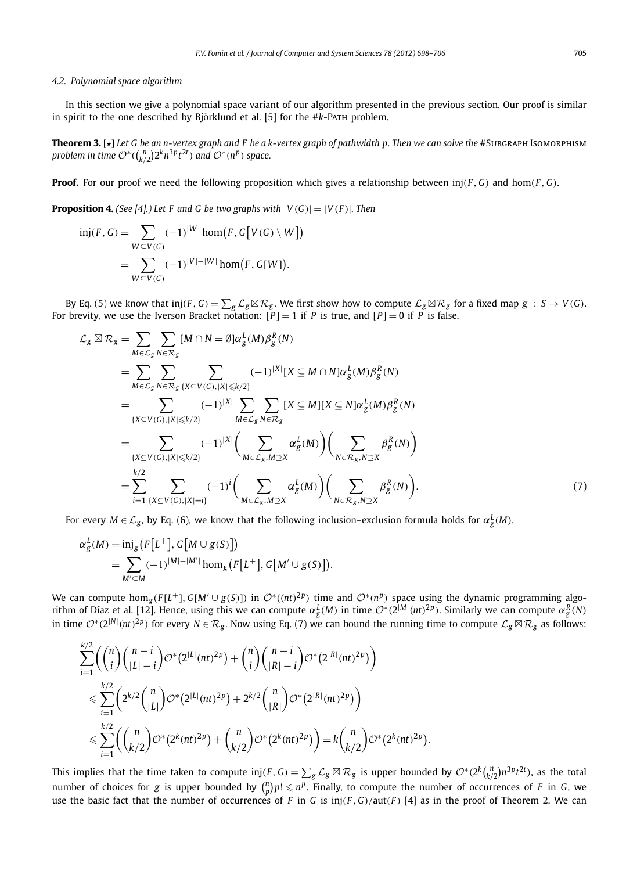# *4.2. Polynomial space algorithm*

In this section we give a polynomial space variant of our algorithm presented in the previous section. Our proof is similar in spirit to the one described by Björklund et al. [5] for the #*k*-Path problem.

**Theorem 3.** [★] *Let G be an n-vertex graph and F be a k-vertex graph of pathwidth p. Then we can solve the* #Subgraph Isomorphism problem in time  $\mathcal{O}^*((\frac{n}{k/2})2^k n^{3p} t^{2t})$  and  $\mathcal{O}^*(n^p)$  space.

**Proof.** For our proof we need the following proposition which gives a relationship between inj(*F* , *G*) and hom(*F* , *G*).

**Proposition 4.** *(See [4].)* Let F and G be two graphs with  $|V(G)| = |V(F)|$ . Then

$$
\text{inj}(F, G) = \sum_{W \subseteq V(G)} (-1)^{|W|} \text{hom}(F, G[V(G) \setminus W])
$$
\n
$$
= \sum_{W \subseteq V(G)} (-1)^{|V| - |W|} \text{hom}(F, G[W]).
$$

By Eq. (5) we know that  $\text{inj}(F, G) = \sum_{g} \mathcal{L}_{g} \boxtimes \mathcal{R}_{g}$ . We first show how to compute  $\mathcal{L}_{g} \boxtimes \mathcal{R}_{g}$  for a fixed map  $g \,:\, S \to V(G)$ . For brevity, we use the Iverson Bracket notation: [*P*] = 1 if *P* is true, and [*P*] = 0 if *P* is false.

$$
\mathcal{L}_{g} \boxtimes \mathcal{R}_{g} = \sum_{M \in \mathcal{L}_{g}} \sum_{N \in \mathcal{R}_{g}} [M \cap N = \emptyset] \alpha_{g}^{L}(M) \beta_{g}^{R}(N)
$$
\n
$$
= \sum_{M \in \mathcal{L}_{g}} \sum_{N \in \mathcal{R}_{g}} \sum_{\{X \subseteq V(G), |X| \le k/2\}} (-1)^{|X|} [X \subseteq M \cap N] \alpha_{g}^{L}(M) \beta_{g}^{R}(N)
$$
\n
$$
= \sum_{\{X \subseteq V(G), |X| \le k/2\}} (-1)^{|X|} \sum_{M \in \mathcal{L}_{g}} \sum_{N \in \mathcal{R}_{g}} [X \subseteq M] [X \subseteq N] \alpha_{g}^{L}(M) \beta_{g}^{R}(N)
$$
\n
$$
= \sum_{\{X \subseteq V(G), |X| \le k/2\}} (-1)^{|X|} \left( \sum_{M \in \mathcal{L}_{g}, M \supseteq X} \alpha_{g}^{L}(M) \right) \left( \sum_{N \in \mathcal{R}_{g}, N \supseteq X} \beta_{g}^{R}(N) \right)
$$
\n
$$
= \sum_{i=1}^{k/2} \sum_{\{X \subseteq V(G), |X|=i\}} (-1)^{i} \left( \sum_{M \in \mathcal{L}_{g}, M \supseteq X} \alpha_{g}^{L}(M) \right) \left( \sum_{N \in \mathcal{R}_{g}, N \supseteq X} \beta_{g}^{R}(N) \right).
$$
\n(7)

For every  $M\in \mathcal{L}_g$ , by Eq. (6), we know that the following inclusion–exclusion formula holds for  $\alpha_g^L(M)$ .

$$
\alpha_g^L(M) = \text{inj}_g\big(F[L^+], G[M \cup g(S)]\big) \n= \sum_{M' \subseteq M} (-1)^{|M| - |M'|} \text{hom}_g\big(F[L^+], G[M' \cup g(S)]\big).
$$

We can compute hom<sub>g</sub>( $F[L^+]$ ,  $G[M' \cup g(S)]$ ) in  $O^*((nt)^{2p})$  time and  $O^*(n^p)$  space using the dynamic programming algorithm of Díaz et al. [12]. Hence, using this we can compute  $\alpha_g^L(M)$  in time  $\mathcal{O}^*(2^{|M|} (nt)^{2p}).$  Similarly we can compute  $\alpha_g^R(N)$ in time  $\mathcal{O}^*(2^{|N|} (nt)^{2p})$  for every  $N \in \mathcal{R}_g$ . Now using Eq. (7) we can bound the running time to compute  $\mathcal{L}_g \boxtimes \mathcal{R}_g$  as follows:

$$
\sum_{i=1}^{k/2} \left( {n \choose i} {n-i \choose |L|-i} \mathcal{O}^*(2^{|L|} (nt)^{2p}) + {n \choose i} {n-i \choose |R|-i} \mathcal{O}^*(2^{|R|} (nt)^{2p}) \right)
$$
  

$$
\leqslant \sum_{i=1}^{k/2} \left( 2^{k/2} {n \choose |L|} \mathcal{O}^*(2^{|L|} (nt)^{2p}) + 2^{k/2} {n \choose |R|} \mathcal{O}^*(2^{|R|} (nt)^{2p}) \right)
$$
  

$$
\leqslant \sum_{i=1}^{k/2} \left( {n \choose k/2} \mathcal{O}^*(2^k (nt)^{2p}) + {n \choose k/2} \mathcal{O}^*(2^k (nt)^{2p}) \right) = k {n \choose k/2} \mathcal{O}^*(2^k (nt)^{2p}).
$$

This implies that the time taken to compute  $\text{inj}(F,G)=\sum_{g}\mathcal{L}_g\boxtimes\mathcal{R}_g$  is upper bounded by  $\mathcal{O}^*(2^k\binom{n}{k/2}n^3pt^{2t})$ , as the total number of choices for *g* is upper bounded by  $\binom{n}{p} p! \leqslant n^p$ . Finally, to compute the number of occurrences of *F* in *G*, we use the basic fact that the number of occurrences of *F* in *G* is inj(*F*, *G*)/aut(*F*) [4] as in the proof of Theorem 2. We can